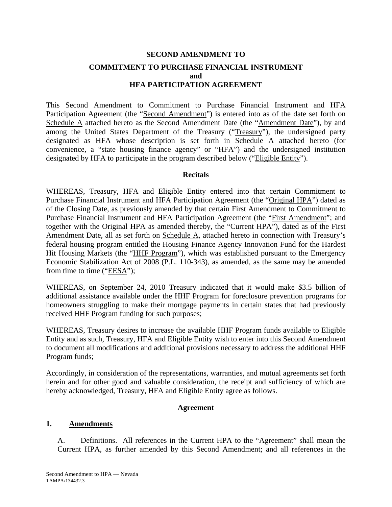## **SECOND AMENDMENT TO COMMITMENT TO PURCHASE FINANCIAL INSTRUMENT and HFA PARTICIPATION AGREEMENT**

This Second Amendment to Commitment to Purchase Financial Instrument and HFA Participation Agreement (the "Second Amendment") is entered into as of the date set forth on Schedule A attached hereto as the Second Amendment Date (the "Amendment Date"), by and among the United States Department of the Treasury ("Treasury"), the undersigned party designated as HFA whose description is set forth in Schedule A attached hereto (for convenience, a "state housing finance agency" or "HFA") and the undersigned institution designated by HFA to participate in the program described below ("Eligible Entity").

#### **Recitals**

WHEREAS, Treasury, HFA and Eligible Entity entered into that certain Commitment to Purchase Financial Instrument and HFA Participation Agreement (the "Original HPA") dated as of the Closing Date, as previously amended by that certain First Amendment to Commitment to Purchase Financial Instrument and HFA Participation Agreement (the "First Amendment"; and together with the Original HPA as amended thereby, the "Current HPA"), dated as of the First Amendment Date, all as set forth on Schedule A, attached hereto in connection with Treasury's federal housing program entitled the Housing Finance Agency Innovation Fund for the Hardest Hit Housing Markets (the "HHF Program"), which was established pursuant to the Emergency Economic Stabilization Act of 2008 (P.L. 110-343), as amended, as the same may be amended from time to time ("EESA");

WHEREAS, on September 24, 2010 Treasury indicated that it would make \$3.5 billion of additional assistance available under the HHF Program for foreclosure prevention programs for homeowners struggling to make their mortgage payments in certain states that had previously received HHF Program funding for such purposes;

WHEREAS, Treasury desires to increase the available HHF Program funds available to Eligible Entity and as such, Treasury, HFA and Eligible Entity wish to enter into this Second Amendment to document all modifications and additional provisions necessary to address the additional HHF Program funds;

Accordingly, in consideration of the representations, warranties, and mutual agreements set forth herein and for other good and valuable consideration, the receipt and sufficiency of which are hereby acknowledged, Treasury, HFA and Eligible Entity agree as follows.

#### **Agreement**

#### **1. Amendments**

A. Definitions. All references in the Current HPA to the "Agreement" shall mean the Current HPA, as further amended by this Second Amendment; and all references in the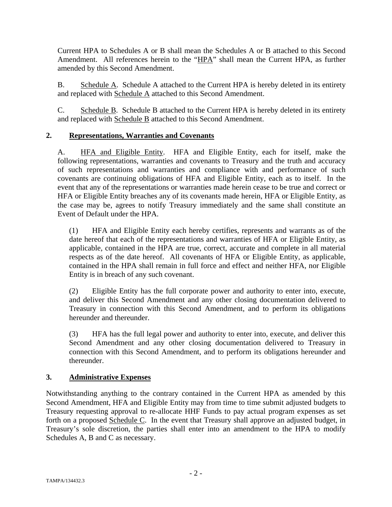Current HPA to Schedules A or B shall mean the Schedules A or B attached to this Second Amendment. All references herein to the "HPA" shall mean the Current HPA, as further amended by this Second Amendment.

B. Schedule A. Schedule A attached to the Current HPA is hereby deleted in its entirety and replaced with Schedule A attached to this Second Amendment.

C. Schedule B. Schedule B attached to the Current HPA is hereby deleted in its entirety and replaced with Schedule B attached to this Second Amendment.

## **2. Representations, Warranties and Covenants**

A. HFA and Eligible Entity. HFA and Eligible Entity, each for itself, make the following representations, warranties and covenants to Treasury and the truth and accuracy of such representations and warranties and compliance with and performance of such covenants are continuing obligations of HFA and Eligible Entity, each as to itself. In the event that any of the representations or warranties made herein cease to be true and correct or HFA or Eligible Entity breaches any of its covenants made herein, HFA or Eligible Entity, as the case may be, agrees to notify Treasury immediately and the same shall constitute an Event of Default under the HPA.

(1) HFA and Eligible Entity each hereby certifies, represents and warrants as of the date hereof that each of the representations and warranties of HFA or Eligible Entity, as applicable, contained in the HPA are true, correct, accurate and complete in all material respects as of the date hereof. All covenants of HFA or Eligible Entity, as applicable, contained in the HPA shall remain in full force and effect and neither HFA, nor Eligible Entity is in breach of any such covenant.

(2) Eligible Entity has the full corporate power and authority to enter into, execute, and deliver this Second Amendment and any other closing documentation delivered to Treasury in connection with this Second Amendment, and to perform its obligations hereunder and thereunder.

(3) HFA has the full legal power and authority to enter into, execute, and deliver this Second Amendment and any other closing documentation delivered to Treasury in connection with this Second Amendment, and to perform its obligations hereunder and thereunder.

### **3. Administrative Expenses**

Notwithstanding anything to the contrary contained in the Current HPA as amended by this Second Amendment, HFA and Eligible Entity may from time to time submit adjusted budgets to Treasury requesting approval to re-allocate HHF Funds to pay actual program expenses as set forth on a proposed Schedule C. In the event that Treasury shall approve an adjusted budget, in Treasury's sole discretion, the parties shall enter into an amendment to the HPA to modify Schedules A, B and C as necessary.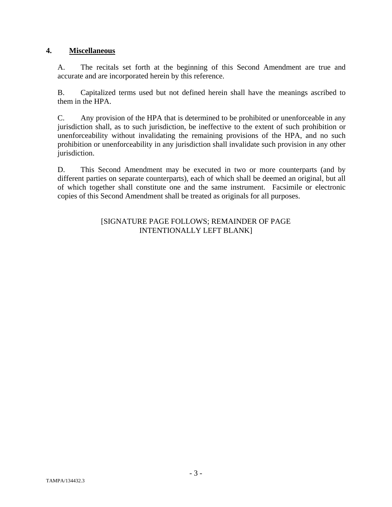#### **4. Miscellaneous**

A. The recitals set forth at the beginning of this Second Amendment are true and accurate and are incorporated herein by this reference.

B. Capitalized terms used but not defined herein shall have the meanings ascribed to them in the HPA.

C. Any provision of the HPA that is determined to be prohibited or unenforceable in any jurisdiction shall, as to such jurisdiction, be ineffective to the extent of such prohibition or unenforceability without invalidating the remaining provisions of the HPA, and no such prohibition or unenforceability in any jurisdiction shall invalidate such provision in any other jurisdiction.

D. This Second Amendment may be executed in two or more counterparts (and by different parties on separate counterparts), each of which shall be deemed an original, but all of which together shall constitute one and the same instrument. Facsimile or electronic copies of this Second Amendment shall be treated as originals for all purposes.

#### [SIGNATURE PAGE FOLLOWS; REMAINDER OF PAGE INTENTIONALLY LEFT BLANK]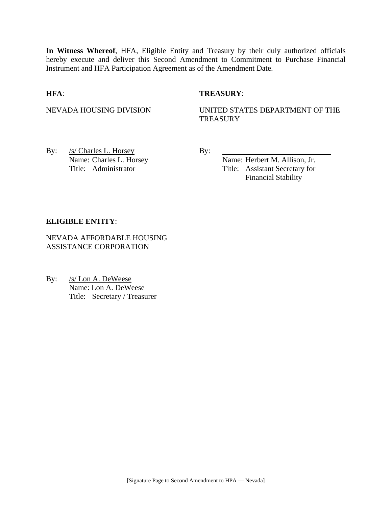**In Witness Whereof**, HFA, Eligible Entity and Treasury by their duly authorized officials hereby execute and deliver this Second Amendment to Commitment to Purchase Financial Instrument and HFA Participation Agreement as of the Amendment Date.

#### **HFA**: **TREASURY**:

NEVADA HOUSING DIVISION UNITED STATES DEPARTMENT OF THE **TREASURY** 

By: <u>/s/ Charles L. Horsey</u> By: Name: Charles L. Horsey Name: Herbert M. Allison, Jr.

Title: Administrator Title: Assistant Secretary for Financial Stability

#### **ELIGIBLE ENTITY**:

NEVADA AFFORDABLE HOUSING ASSISTANCE CORPORATION

By: /s/ Lon A. DeWeese Name: Lon A. DeWeese Title: Secretary / Treasurer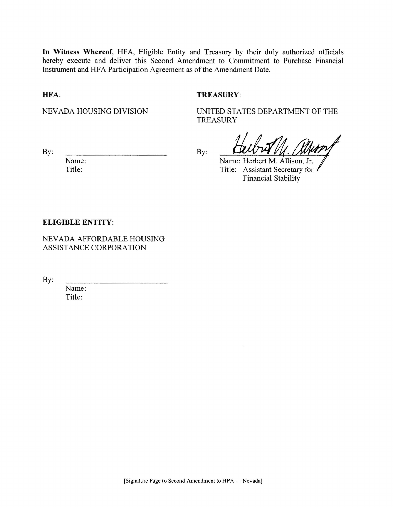In Witness Whereof, HFA, Eligible Entity and Treasury by their duly authorized officials hereby execute and deliver this Second Amendment to Commitment to Purchase Financial Instrument and HFA Participation Agreement as of the Amendment Date.

HFA:

#### **TREASURY:**

NEVADA HOUSING DIVISION

UNITED STATES DEPARTMENT OF THE **TREASURY** 

 $By:$ 

Name: Title:

By:

Name: Herbert M. Allison, Jr. Title: Assistant Secretary for **Financial Stability** 

#### **ELIGIBLE ENTITY:**

NEVADA AFFORDABLE HOUSING ASSISTANCE CORPORATION

 $By:$ 

Name: Title: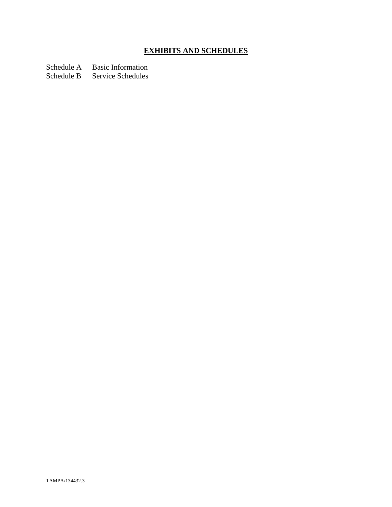# **EXHIBITS AND SCHEDULES**

Schedule A Basic Information<br>Schedule B Service Schedules

Service Schedules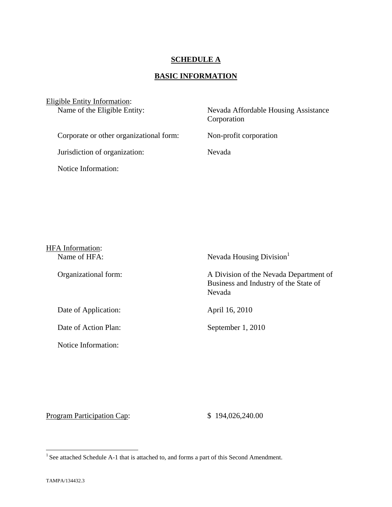#### **SCHEDULE A**

## **BASIC INFORMATION**

| Eligible Entity Information:<br>Name of the Eligible Entity: | Nevada Affordable Housing Assistance<br>Corporation |
|--------------------------------------------------------------|-----------------------------------------------------|
| Corporate or other organizational form:                      | Non-profit corporation                              |
| Jurisdiction of organization:                                | Nevada                                              |
| Notice Information:                                          |                                                     |

| HFA Information:<br>Name of HFA: | Nevada Housing Division                                                                   |
|----------------------------------|-------------------------------------------------------------------------------------------|
| Organizational form:             | A Division of the Nevada Department of<br>Business and Industry of the State of<br>Nevada |
| Date of Application:             | April 16, 2010                                                                            |
| Date of Action Plan:             | September 1, 2010                                                                         |
| Notice Information:              |                                                                                           |

Program Participation Cap:  $$ 194,026,240.00$ 

<u>.</u>

<sup>&</sup>lt;sup>1</sup> See attached Schedule A-1 that is attached to, and forms a part of this Second Amendment.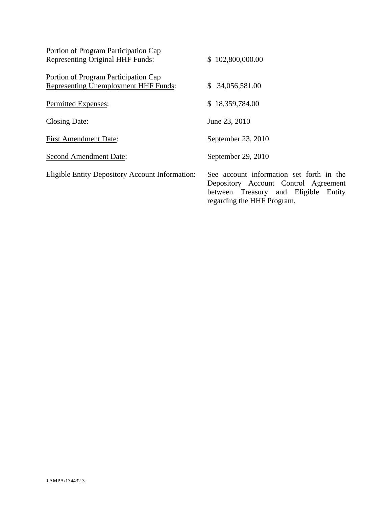| Portion of Program Participation Cap                   |                                                                                                                                                        |
|--------------------------------------------------------|--------------------------------------------------------------------------------------------------------------------------------------------------------|
| <b>Representing Original HHF Funds:</b>                | \$102,800,000.00                                                                                                                                       |
| Portion of Program Participation Cap                   |                                                                                                                                                        |
| <b>Representing Unemployment HHF Funds:</b>            | 34,056,581.00<br>S.                                                                                                                                    |
| Permitted Expenses:                                    | 18,359,784.00<br>S.                                                                                                                                    |
| <b>Closing Date:</b>                                   | June 23, 2010                                                                                                                                          |
| <b>First Amendment Date:</b>                           | September 23, 2010                                                                                                                                     |
| <b>Second Amendment Date:</b>                          | September 29, 2010                                                                                                                                     |
| <b>Eligible Entity Depository Account Information:</b> | See account information set forth in the<br>Depository Account Control Agreement<br>between Treasury and Eligible Entity<br>regarding the HHF Program. |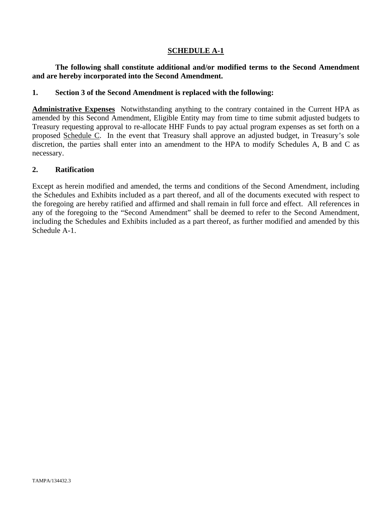#### **SCHEDULE A-1**

#### **The following shall constitute additional and/or modified terms to the Second Amendment and are hereby incorporated into the Second Amendment.**

#### **1. Section 3 of the Second Amendment is replaced with the following:**

**Administrative Expenses** Notwithstanding anything to the contrary contained in the Current HPA as amended by this Second Amendment, Eligible Entity may from time to time submit adjusted budgets to Treasury requesting approval to re-allocate HHF Funds to pay actual program expenses as set forth on a proposed Schedule C. In the event that Treasury shall approve an adjusted budget, in Treasury's sole discretion, the parties shall enter into an amendment to the HPA to modify Schedules A, B and C as necessary.

#### **2. Ratification**

Except as herein modified and amended, the terms and conditions of the Second Amendment, including the Schedules and Exhibits included as a part thereof, and all of the documents executed with respect to the foregoing are hereby ratified and affirmed and shall remain in full force and effect. All references in any of the foregoing to the "Second Amendment" shall be deemed to refer to the Second Amendment, including the Schedules and Exhibits included as a part thereof, as further modified and amended by this Schedule A-1.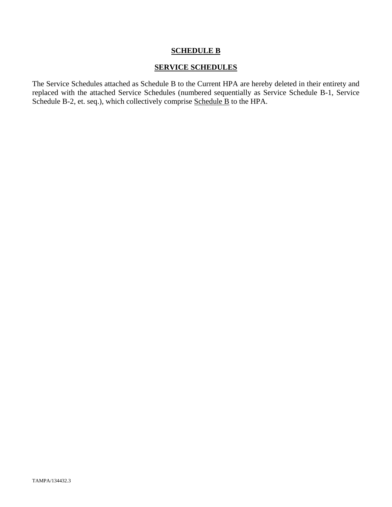### **SCHEDULE B**

#### **SERVICE SCHEDULES**

The Service Schedules attached as Schedule B to the Current HPA are hereby deleted in their entirety and replaced with the attached Service Schedules (numbered sequentially as Service Schedule B-1, Service Schedule B-2, et. seq.), which collectively comprise Schedule B to the HPA.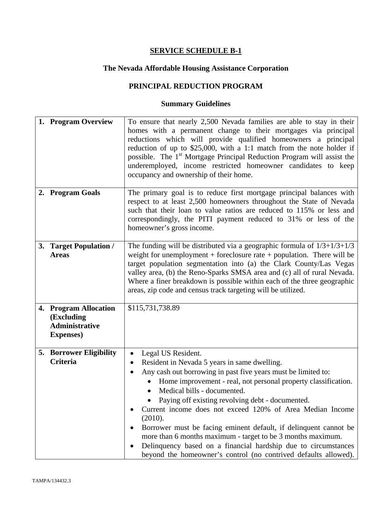# **The Nevada Affordable Housing Assistance Corporation**

## **PRINCIPAL REDUCTION PROGRAM**

| 1. Program Overview                                                               | To ensure that nearly 2,500 Nevada families are able to stay in their<br>homes with a permanent change to their mortgages via principal<br>reductions which will provide qualified homeowners a principal<br>reduction of up to $$25,000$ , with a 1:1 match from the note holder if<br>possible. The 1 <sup>st</sup> Mortgage Principal Reduction Program will assist the<br>underemployed, income restricted homeowner candidates to keep<br>occupancy and ownership of their home.                                                                                                                                                                                           |
|-----------------------------------------------------------------------------------|---------------------------------------------------------------------------------------------------------------------------------------------------------------------------------------------------------------------------------------------------------------------------------------------------------------------------------------------------------------------------------------------------------------------------------------------------------------------------------------------------------------------------------------------------------------------------------------------------------------------------------------------------------------------------------|
| 2. Program Goals                                                                  | The primary goal is to reduce first mortgage principal balances with<br>respect to at least 2,500 homeowners throughout the State of Nevada<br>such that their loan to value ratios are reduced to 115% or less and<br>correspondingly, the PITI payment reduced to 31% or less of the<br>homeowner's gross income.                                                                                                                                                                                                                                                                                                                                                             |
| 3. Target Population /<br><b>Areas</b>                                            | The funding will be distributed via a geographic formula of $1/3+1/3+1/3$<br>weight for unemployment + foreclosure rate + population. There will be<br>target population segmentation into (a) the Clark County/Las Vegas<br>valley area, (b) the Reno-Sparks SMSA area and (c) all of rural Nevada.<br>Where a finer breakdown is possible within each of the three geographic<br>areas, zip code and census track targeting will be utilized.                                                                                                                                                                                                                                 |
| 4. Program Allocation<br>(Excluding<br><b>Administrative</b><br><b>Expenses</b> ) | \$115,731,738.89                                                                                                                                                                                                                                                                                                                                                                                                                                                                                                                                                                                                                                                                |
| <b>5. Borrower Eligibility</b><br>Criteria                                        | Legal US Resident.<br>$\bullet$<br>Resident in Nevada 5 years in same dwelling.<br>Any cash out borrowing in past five years must be limited to:<br>$\bullet$<br>Home improvement - real, not personal property classification.<br>Medical bills - documented.<br>Paying off existing revolving debt - documented.<br>Current income does not exceed 120% of Area Median Income<br>(2010).<br>Borrower must be facing eminent default, if delinquent cannot be<br>$\bullet$<br>more than 6 months maximum - target to be 3 months maximum.<br>Delinquency based on a financial hardship due to circumstances<br>beyond the homeowner's control (no contrived defaults allowed). |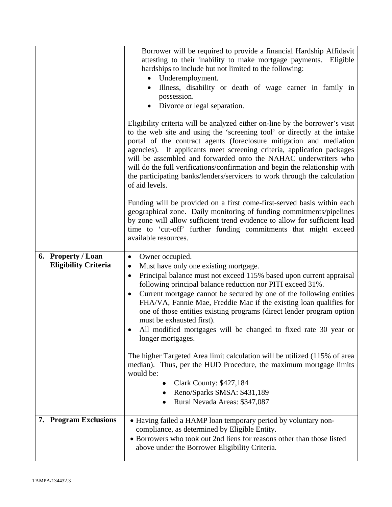|                                                   | Borrower will be required to provide a financial Hardship Affidavit<br>attesting to their inability to make mortgage payments.<br>Eligible<br>hardships to include but not limited to the following:<br>Underemployment.<br>$\bullet$<br>Illness, disability or death of wage earner in family in<br>possession.<br>Divorce or legal separation.                                                                                                                                                                                                                                                                                                                          |
|---------------------------------------------------|---------------------------------------------------------------------------------------------------------------------------------------------------------------------------------------------------------------------------------------------------------------------------------------------------------------------------------------------------------------------------------------------------------------------------------------------------------------------------------------------------------------------------------------------------------------------------------------------------------------------------------------------------------------------------|
|                                                   | Eligibility criteria will be analyzed either on-line by the borrower's visit<br>to the web site and using the 'screening tool' or directly at the intake<br>portal of the contract agents (foreclosure mitigation and mediation<br>agencies). If applicants meet screening criteria, application packages<br>will be assembled and forwarded onto the NAHAC underwriters who<br>will do the full verifications/confirmation and begin the relationship with<br>the participating banks/lenders/servicers to work through the calculation<br>of aid levels.                                                                                                                |
|                                                   | Funding will be provided on a first come-first-served basis within each<br>geographical zone. Daily monitoring of funding commitments/pipelines<br>by zone will allow sufficient trend evidence to allow for sufficient lead<br>time to 'cut-off' further funding commitments that might exceed<br>available resources.                                                                                                                                                                                                                                                                                                                                                   |
| 6. Property / Loan<br><b>Eligibility Criteria</b> | Owner occupied.<br>$\bullet$<br>Must have only one existing mortgage.<br>$\bullet$<br>Principal balance must not exceed 115% based upon current appraisal<br>$\bullet$<br>following principal balance reduction nor PITI exceed 31%.<br>Current mortgage cannot be secured by one of the following entities<br>$\bullet$<br>FHA/VA, Fannie Mae, Freddie Mac if the existing loan qualifies for<br>one of those entities existing programs (direct lender program option<br>must be exhausted first).<br>All modified mortgages will be changed to fixed rate 30 year or<br>longer mortgages.<br>The higher Targeted Area limit calculation will be utilized (115% of area |
|                                                   | median). Thus, per the HUD Procedure, the maximum mortgage limits<br>would be:<br><b>Clark County: \$427,184</b><br>Reno/Sparks SMSA: \$431,189<br>Rural Nevada Areas: \$347,087                                                                                                                                                                                                                                                                                                                                                                                                                                                                                          |
| <b>7. Program Exclusions</b>                      | • Having failed a HAMP loan temporary period by voluntary non-<br>compliance, as determined by Eligible Entity.<br>• Borrowers who took out 2nd liens for reasons other than those listed<br>above under the Borrower Eligibility Criteria.                                                                                                                                                                                                                                                                                                                                                                                                                               |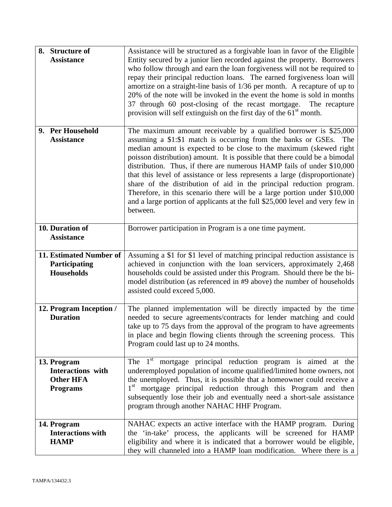| 8. Structure of<br><b>Assistance</b>                                    | Assistance will be structured as a forgivable loan in favor of the Eligible<br>Entity secured by a junior lien recorded against the property. Borrowers<br>who follow through and earn the loan forgiveness will not be required to<br>repay their principal reduction loans. The earned forgiveness loan will<br>amortize on a straight-line basis of 1/36 per month. A recapture of up to<br>20% of the note will be invoked in the event the home is sold in months<br>37 through 60 post-closing of the recast mortgage.<br>The recapture<br>provision will self extinguish on the first day of the 61 <sup>st</sup> month.                                                                      |
|-------------------------------------------------------------------------|------------------------------------------------------------------------------------------------------------------------------------------------------------------------------------------------------------------------------------------------------------------------------------------------------------------------------------------------------------------------------------------------------------------------------------------------------------------------------------------------------------------------------------------------------------------------------------------------------------------------------------------------------------------------------------------------------|
| 9. Per Household<br><b>Assistance</b>                                   | The maximum amount receivable by a qualified borrower is $$25,000$<br>assuming a \$1:\$1 match is occurring from the banks or GSEs. The<br>median amount is expected to be close to the maximum (skewed right<br>poisson distribution) amount. It is possible that there could be a bimodal<br>distribution. Thus, if there are numerous HAMP fails of under \$10,000<br>that this level of assistance or less represents a large (disproportionate)<br>share of the distribution of aid in the principal reduction program.<br>Therefore, in this scenario there will be a large portion under \$10,000<br>and a large portion of applicants at the full \$25,000 level and very few in<br>between. |
| 10. Duration of<br><b>Assistance</b>                                    | Borrower participation in Program is a one time payment.                                                                                                                                                                                                                                                                                                                                                                                                                                                                                                                                                                                                                                             |
| 11. Estimated Number of<br>Participating<br><b>Households</b>           | Assuming a \$1 for \$1 level of matching principal reduction assistance is<br>achieved in conjunction with the loan servicers, approximately 2,468<br>households could be assisted under this Program. Should there be the bi-<br>model distribution (as referenced in #9 above) the number of households<br>assisted could exceed 5,000.                                                                                                                                                                                                                                                                                                                                                            |
| 12. Program Inception /<br><b>Duration</b>                              | The planned implementation will be directly impacted by the time<br>needed to secure agreements/contracts for lender matching and could<br>take up to 75 days from the approval of the program to have agreements<br>in place and begin flowing clients through the screening process. This<br>Program could last up to 24 months.                                                                                                                                                                                                                                                                                                                                                                   |
| 13. Program<br>Interactions with<br><b>Other HFA</b><br><b>Programs</b> | The $1st$ mortgage principal reduction program is aimed at the<br>underemployed population of income qualified/limited home owners, not<br>the unemployed. Thus, it is possible that a homeowner could receive a<br>1 <sup>st</sup><br>mortgage principal reduction through this Program and then<br>subsequently lose their job and eventually need a short-sale assistance<br>program through another NAHAC HHF Program.                                                                                                                                                                                                                                                                           |
| 14. Program<br><b>Interactions with</b><br><b>HAMP</b>                  | NAHAC expects an active interface with the HAMP program. During<br>the 'in-take' process, the applicants will be screened for HAMP<br>eligibility and where it is indicated that a borrower would be eligible,<br>they will channeled into a HAMP loan modification. Where there is a                                                                                                                                                                                                                                                                                                                                                                                                                |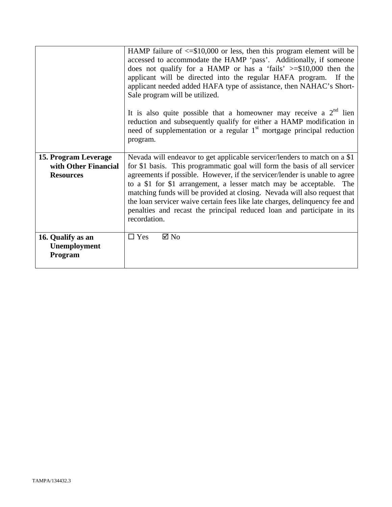|                                                                  | HAMP failure of $\leq$ \$10,000 or less, then this program element will be<br>accessed to accommodate the HAMP 'pass'. Additionally, if someone<br>does not qualify for a HAMP or has a 'fails' $>= $10,000$ then the<br>applicant will be directed into the regular HAFA program. If the<br>applicant needed added HAFA type of assistance, then NAHAC's Short-<br>Sale program will be utilized.<br>It is also quite possible that a homeowner may receive a $2nd$ lien<br>reduction and subsequently qualify for either a HAMP modification in<br>need of supplementation or a regular 1 <sup>st</sup> mortgage principal reduction<br>program. |
|------------------------------------------------------------------|----------------------------------------------------------------------------------------------------------------------------------------------------------------------------------------------------------------------------------------------------------------------------------------------------------------------------------------------------------------------------------------------------------------------------------------------------------------------------------------------------------------------------------------------------------------------------------------------------------------------------------------------------|
| 15. Program Leverage<br>with Other Financial<br><b>Resources</b> | Nevada will endeavor to get applicable servicer/lenders to match on a \$1<br>for \$1 basis. This programmatic goal will form the basis of all servicer<br>agreements if possible. However, if the servicer/lender is unable to agree<br>to a \$1 for \$1 arrangement, a lesser match may be acceptable. The<br>matching funds will be provided at closing. Nevada will also request that<br>the loan servicer waive certain fees like late charges, delinquency fee and<br>penalties and recast the principal reduced loan and participate in its<br>recordation.                                                                                  |
| 16. Qualify as an<br>Unemployment<br>Program                     | $\Box$ Yes<br>$\boxtimes$ No                                                                                                                                                                                                                                                                                                                                                                                                                                                                                                                                                                                                                       |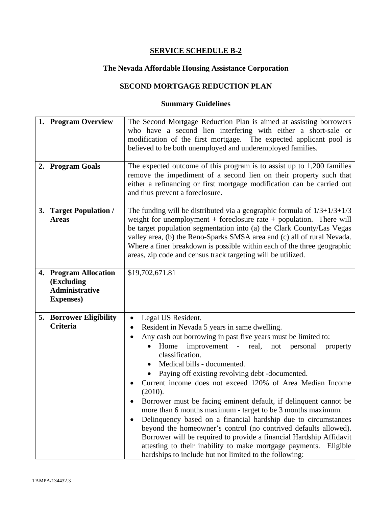## **The Nevada Affordable Housing Assistance Corporation**

## **SECOND MORTGAGE REDUCTION PLAN**

| 1. Program Overview<br>2. Program Goals                  | The Second Mortgage Reduction Plan is aimed at assisting borrowers<br>who have a second lien interfering with either a short-sale or<br>modification of the first mortgage. The expected applicant pool is<br>believed to be both unemployed and underemployed families.<br>The expected outcome of this program is to assist up to $1,200$ families<br>remove the impediment of a second lien on their property such that<br>either a refinancing or first mortgage modification can be carried out                                                                                                                                                                                                                                                                                                                                                                                                                      |
|----------------------------------------------------------|---------------------------------------------------------------------------------------------------------------------------------------------------------------------------------------------------------------------------------------------------------------------------------------------------------------------------------------------------------------------------------------------------------------------------------------------------------------------------------------------------------------------------------------------------------------------------------------------------------------------------------------------------------------------------------------------------------------------------------------------------------------------------------------------------------------------------------------------------------------------------------------------------------------------------|
|                                                          | and thus prevent a foreclosure.                                                                                                                                                                                                                                                                                                                                                                                                                                                                                                                                                                                                                                                                                                                                                                                                                                                                                           |
| 3. Target Population /<br><b>Areas</b>                   | The funding will be distributed via a geographic formula of $1/3+1/3+1/3$<br>weight for unemployment $+$ foreclosure rate $+$ population. There will<br>be target population segmentation into (a) the Clark County/Las Vegas<br>valley area, (b) the Reno-Sparks SMSA area and (c) all of rural Nevada.<br>Where a finer breakdown is possible within each of the three geographic<br>areas, zip code and census track targeting will be utilized.                                                                                                                                                                                                                                                                                                                                                                                                                                                                       |
| 4. Program Allocation                                    | \$19,702,671.81                                                                                                                                                                                                                                                                                                                                                                                                                                                                                                                                                                                                                                                                                                                                                                                                                                                                                                           |
| (Excluding<br><b>Administrative</b><br><b>Expenses</b> ) |                                                                                                                                                                                                                                                                                                                                                                                                                                                                                                                                                                                                                                                                                                                                                                                                                                                                                                                           |
| <b>5. Borrower Eligibility</b><br><b>Criteria</b>        | Legal US Resident.<br>$\bullet$<br>Resident in Nevada 5 years in same dwelling.<br>$\bullet$<br>Any cash out borrowing in past five years must be limited to:<br>improvement - real, not personal<br>Home<br>property<br>$\bullet$<br>classification.<br>Medical bills - documented.<br>$\bullet$<br>Paying off existing revolving debt -documented.<br>Current income does not exceed 120% of Area Median Income<br>(2010).<br>Borrower must be facing eminent default, if delinquent cannot be<br>more than 6 months maximum - target to be 3 months maximum.<br>Delinquency based on a financial hardship due to circumstances<br>$\bullet$<br>beyond the homeowner's control (no contrived defaults allowed).<br>Borrower will be required to provide a financial Hardship Affidavit<br>attesting to their inability to make mortgage payments.<br>Eligible<br>hardships to include but not limited to the following: |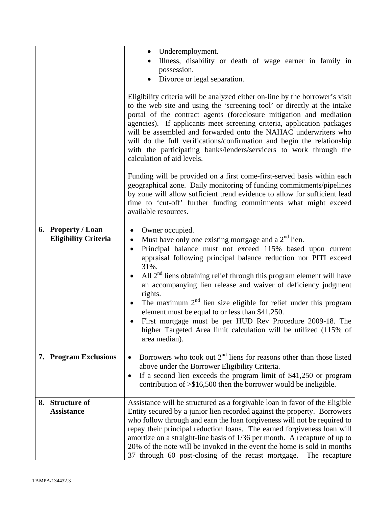|    |                                                   | Underemployment.<br>$\bullet$<br>Illness, disability or death of wage earner in family in<br>possession.<br>Divorce or legal separation.<br>Eligibility criteria will be analyzed either on-line by the borrower's visit<br>to the web site and using the 'screening tool' or directly at the intake<br>portal of the contract agents (foreclosure mitigation and mediation<br>agencies). If applicants meet screening criteria, application packages<br>will be assembled and forwarded onto the NAHAC underwriters who<br>will do the full verifications/confirmation and begin the relationship<br>with the participating banks/lenders/servicers to work through the<br>calculation of aid levels.   |
|----|---------------------------------------------------|----------------------------------------------------------------------------------------------------------------------------------------------------------------------------------------------------------------------------------------------------------------------------------------------------------------------------------------------------------------------------------------------------------------------------------------------------------------------------------------------------------------------------------------------------------------------------------------------------------------------------------------------------------------------------------------------------------|
|    |                                                   | Funding will be provided on a first come-first-served basis within each<br>geographical zone. Daily monitoring of funding commitments/pipelines<br>by zone will allow sufficient trend evidence to allow for sufficient lead<br>time to 'cut-off' further funding commitments what might exceed<br>available resources.                                                                                                                                                                                                                                                                                                                                                                                  |
|    | 6. Property / Loan<br><b>Eligibility Criteria</b> | Owner occupied.<br>$\bullet$<br>Must have only one existing mortgage and a $2nd$ lien.<br>$\bullet$<br>Principal balance must not exceed 115% based upon current<br>$\bullet$<br>appraisal following principal balance reduction nor PITI exceed<br>31%.<br>All $2nd$ liens obtaining relief through this program element will have<br>an accompanying lien release and waiver of deficiency judgment<br>rights.<br>The maximum $2nd$ lien size eligible for relief under this program<br>$\bullet$<br>element must be equal to or less than \$41,250.<br>First mortgage must be per HUD Rev Procedure 2009-18. The<br>higher Targeted Area limit calculation will be utilized (115% of<br>area median). |
|    | 7. Program Exclusions                             | Borrowers who took out $2nd$ liens for reasons other than those listed<br>$\bullet$<br>above under the Borrower Eligibility Criteria.<br>If a second lien exceeds the program limit of \$41,250 or program<br>$\bullet$<br>contribution of $\geq$ \$16,500 then the borrower would be ineligible.                                                                                                                                                                                                                                                                                                                                                                                                        |
| 8. | <b>Structure of</b><br><b>Assistance</b>          | Assistance will be structured as a forgivable loan in favor of the Eligible<br>Entity secured by a junior lien recorded against the property. Borrowers<br>who follow through and earn the loan forgiveness will not be required to<br>repay their principal reduction loans. The earned forgiveness loan will<br>amortize on a straight-line basis of 1/36 per month. A recapture of up to<br>20% of the note will be invoked in the event the home is sold in months<br>37 through 60 post-closing of the recast mortgage. The recapture                                                                                                                                                               |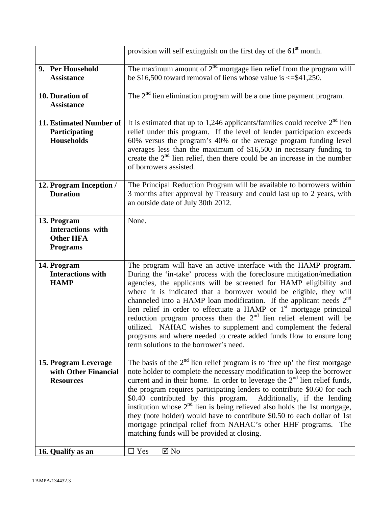|                                                                         | provision will self extinguish on the first day of the 61 <sup>st</sup> month.                                                                                                                                                                                                                                                                                                                                                                                                                                                                                                                                                                                                                                 |
|-------------------------------------------------------------------------|----------------------------------------------------------------------------------------------------------------------------------------------------------------------------------------------------------------------------------------------------------------------------------------------------------------------------------------------------------------------------------------------------------------------------------------------------------------------------------------------------------------------------------------------------------------------------------------------------------------------------------------------------------------------------------------------------------------|
| 9. Per Household<br><b>Assistance</b>                                   | The maximum amount of $2nd$ mortgage lien relief from the program will<br>be \$16,500 toward removal of liens whose value is $\le$ \$41,250.                                                                                                                                                                                                                                                                                                                                                                                                                                                                                                                                                                   |
| 10. Duration of<br><b>Assistance</b>                                    | The $2nd$ lien elimination program will be a one time payment program.                                                                                                                                                                                                                                                                                                                                                                                                                                                                                                                                                                                                                                         |
| 11. Estimated Number of<br>Participating<br><b>Households</b>           | It is estimated that up to 1,246 applicants/families could receive $2nd$ lien<br>relief under this program. If the level of lender participation exceeds<br>60% versus the program's 40% or the average program funding level<br>averages less than the maximum of \$16,500 in necessary funding to<br>create the $2nd$ lien relief, then there could be an increase in the number<br>of borrowers assisted.                                                                                                                                                                                                                                                                                                   |
| 12. Program Inception /<br><b>Duration</b>                              | The Principal Reduction Program will be available to borrowers within<br>3 months after approval by Treasury and could last up to 2 years, with<br>an outside date of July 30th 2012.                                                                                                                                                                                                                                                                                                                                                                                                                                                                                                                          |
| 13. Program<br>Interactions with<br><b>Other HFA</b><br><b>Programs</b> | None.                                                                                                                                                                                                                                                                                                                                                                                                                                                                                                                                                                                                                                                                                                          |
| 14. Program<br><b>Interactions with</b><br><b>HAMP</b>                  | The program will have an active interface with the HAMP program.<br>During the 'in-take' process with the foreclosure mitigation/mediation<br>agencies, the applicants will be screened for HAMP eligibility and<br>where it is indicated that a borrower would be eligible, they will<br>channeled into a HAMP loan modification. If the applicant needs $2nd$<br>lien relief in order to effectuate a HAMP or 1 <sup>st</sup> mortgage principal<br>reduction program process then the $2nd$ lien relief element will be<br>utilized. NAHAC wishes to supplement and complement the federal<br>programs and where needed to create added funds flow to ensure long<br>term solutions to the borrower's need. |
| 15. Program Leverage<br>with Other Financial<br><b>Resources</b>        | The basis of the $2nd$ lien relief program is to 'free up' the first mortgage<br>note holder to complete the necessary modification to keep the borrower<br>current and in their home. In order to leverage the $2nd$ lien relief funds,<br>the program requires participating lenders to contribute \$0.60 for each<br>\$0.40 contributed by this program.<br>Additionally, if the lending<br>institution whose $2nd$ lien is being relieved also holds the 1st mortgage,<br>they (note holder) would have to contribute \$0.50 to each dollar of 1st<br>mortgage principal relief from NAHAC's other HHF programs. The<br>matching funds will be provided at closing.                                        |
| 16. Qualify as an                                                       | $\boxtimes$ No<br>$\Box$ Yes                                                                                                                                                                                                                                                                                                                                                                                                                                                                                                                                                                                                                                                                                   |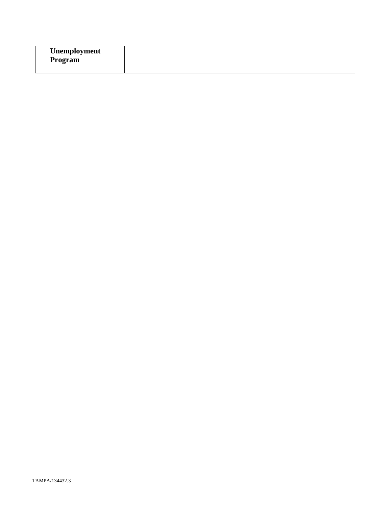| Unemployment   |  |
|----------------|--|
| <b>Program</b> |  |
|                |  |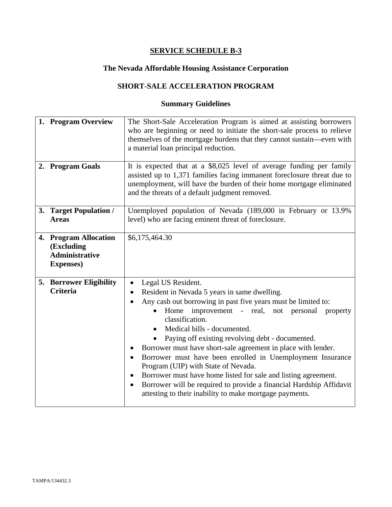# **The Nevada Affordable Housing Assistance Corporation**

## **SHORT-SALE ACCELERATION PROGRAM**

| 1. Program Overview<br>2. Program Goals                                           | The Short-Sale Acceleration Program is aimed at assisting borrowers<br>who are beginning or need to initiate the short-sale process to relieve<br>themselves of the mortgage burdens that they cannot sustain—even with<br>a material loan principal reduction.<br>It is expected that at a \$8,025 level of average funding per family                                                                                                                                                                                                                                                                                                                                                                              |
|-----------------------------------------------------------------------------------|----------------------------------------------------------------------------------------------------------------------------------------------------------------------------------------------------------------------------------------------------------------------------------------------------------------------------------------------------------------------------------------------------------------------------------------------------------------------------------------------------------------------------------------------------------------------------------------------------------------------------------------------------------------------------------------------------------------------|
|                                                                                   | assisted up to 1,371 families facing immanent foreclosure threat due to<br>unemployment, will have the burden of their home mortgage eliminated<br>and the threats of a default judgment removed.                                                                                                                                                                                                                                                                                                                                                                                                                                                                                                                    |
| 3. Target Population /<br><b>Areas</b>                                            | Unemployed population of Nevada (189,000 in February or 13.9%<br>level) who are facing eminent threat of foreclosure.                                                                                                                                                                                                                                                                                                                                                                                                                                                                                                                                                                                                |
| 4. Program Allocation<br>(Excluding<br><b>Administrative</b><br><b>Expenses</b> ) | \$6,175,464.30                                                                                                                                                                                                                                                                                                                                                                                                                                                                                                                                                                                                                                                                                                       |
| <b>5. Borrower Eligibility</b><br><b>Criteria</b>                                 | Legal US Resident.<br>٠<br>Resident in Nevada 5 years in same dwelling.<br>Any cash out borrowing in past five years must be limited to:<br>$\bullet$<br>Home improvement - real, not personal<br>property<br>classification.<br>Medical bills - documented.<br>Paying off existing revolving debt - documented.<br>Borrower must have short-sale agreement in place with lender.<br>Borrower must have been enrolled in Unemployment Insurance<br>$\bullet$<br>Program (UIP) with State of Nevada.<br>Borrower must have home listed for sale and listing agreement.<br>$\bullet$<br>Borrower will be required to provide a financial Hardship Affidavit<br>attesting to their inability to make mortgage payments. |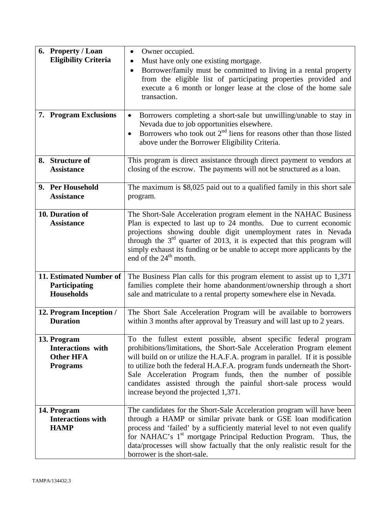| 6. Property / Loan<br><b>Eligibility Criteria</b><br>7. Program Exclusions     | Owner occupied.<br>Must have only one existing mortgage.<br>$\bullet$<br>Borrower/family must be committed to living in a rental property<br>$\bullet$<br>from the eligible list of participating properties provided and<br>execute a 6 month or longer lease at the close of the home sale<br>transaction.<br>Borrowers completing a short-sale but unwilling/unable to stay in<br>$\bullet$<br>Nevada due to job opportunities elsewhere.<br>Borrowers who took out $2nd$ liens for reasons other than those listed<br>$\bullet$ |
|--------------------------------------------------------------------------------|-------------------------------------------------------------------------------------------------------------------------------------------------------------------------------------------------------------------------------------------------------------------------------------------------------------------------------------------------------------------------------------------------------------------------------------------------------------------------------------------------------------------------------------|
| 8. Structure of<br><b>Assistance</b>                                           | above under the Borrower Eligibility Criteria.<br>This program is direct assistance through direct payment to vendors at<br>closing of the escrow. The payments will not be structured as a loan.                                                                                                                                                                                                                                                                                                                                   |
| 9. Per Household<br><b>Assistance</b>                                          | The maximum is \$8,025 paid out to a qualified family in this short sale<br>program.                                                                                                                                                                                                                                                                                                                                                                                                                                                |
| 10. Duration of<br><b>Assistance</b>                                           | The Short-Sale Acceleration program element in the NAHAC Business<br>Plan is expected to last up to 24 months. Due to current economic<br>projections showing double digit unemployment rates in Nevada<br>through the $3rd$ quarter of 2013, it is expected that this program will<br>simply exhaust its funding or be unable to accept more applicants by the<br>end of the $24th$ month.                                                                                                                                         |
| 11. Estimated Number of<br>Participating<br><b>Households</b>                  | The Business Plan calls for this program element to assist up to 1,371<br>families complete their home abandonment/ownership through a short<br>sale and matriculate to a rental property somewhere else in Nevada.                                                                                                                                                                                                                                                                                                                 |
| 12. Program Inception /<br><b>Duration</b>                                     | The Short Sale Acceleration Program will be available to borrowers<br>within 3 months after approval by Treasury and will last up to 2 years.                                                                                                                                                                                                                                                                                                                                                                                       |
| 13. Program<br><b>Interactions</b> with<br><b>Other HFA</b><br><b>Programs</b> | To the fullest extent possible, absent specific federal program<br>prohibitions/limitations, the Short-Sale Acceleration Program element<br>will build on or utilize the H.A.F.A. program in parallel. If it is possible<br>to utilize both the federal H.A.F.A. program funds underneath the Short-<br>Sale Acceleration Program funds, then the number of possible<br>candidates assisted through the painful short-sale process would<br>increase beyond the projected 1,371.                                                    |
| 14. Program<br><b>Interactions with</b><br><b>HAMP</b>                         | The candidates for the Short-Sale Acceleration program will have been<br>through a HAMP or similar private bank or GSE loan modification<br>process and 'failed' by a sufficiently material level to not even qualify<br>for NAHAC's 1 <sup>st</sup> mortgage Principal Reduction Program. Thus, the<br>data/processes will show factually that the only realistic result for the<br>borrower is the short-sale.                                                                                                                    |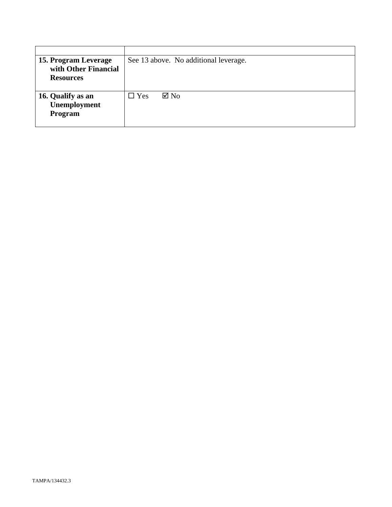| 15. Program Leverage | See 13 above. No additional leverage. |
|----------------------|---------------------------------------|
| with Other Financial |                                       |
| <b>Resources</b>     |                                       |
|                      |                                       |
| 16. Qualify as an    | $\Box$ Yes<br>$\boxtimes$ No          |
| Unemployment         |                                       |
| Program              |                                       |
|                      |                                       |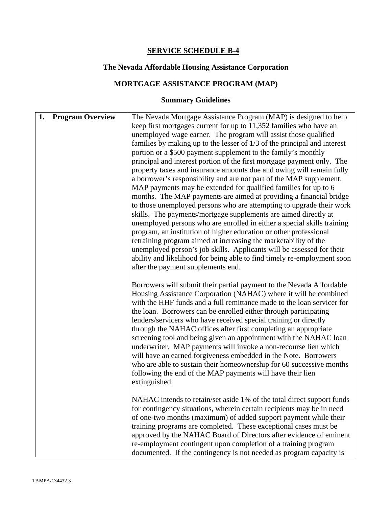## **The Nevada Affordable Housing Assistance Corporation**

## **MORTGAGE ASSISTANCE PROGRAM (MAP)**

| <b>Program Overview</b><br>1. | The Nevada Mortgage Assistance Program (MAP) is designed to help<br>keep first mortgages current for up to 11,352 families who have an<br>unemployed wage earner. The program will assist those qualified<br>families by making up to the lesser of $1/3$ of the principal and interest<br>portion or a \$500 payment supplement to the family's monthly<br>principal and interest portion of the first mortgage payment only. The<br>property taxes and insurance amounts due and owing will remain fully<br>a borrower's responsibility and are not part of the MAP supplement.<br>MAP payments may be extended for qualified families for up to 6<br>months. The MAP payments are aimed at providing a financial bridge<br>to those unemployed persons who are attempting to upgrade their work<br>skills. The payments/mortgage supplements are aimed directly at<br>unemployed persons who are enrolled in either a special skills training<br>program, an institution of higher education or other professional<br>retraining program aimed at increasing the marketability of the<br>unemployed person's job skills. Applicants will be assessed for their<br>ability and likelihood for being able to find timely re-employment soon<br>after the payment supplements end. |
|-------------------------------|------------------------------------------------------------------------------------------------------------------------------------------------------------------------------------------------------------------------------------------------------------------------------------------------------------------------------------------------------------------------------------------------------------------------------------------------------------------------------------------------------------------------------------------------------------------------------------------------------------------------------------------------------------------------------------------------------------------------------------------------------------------------------------------------------------------------------------------------------------------------------------------------------------------------------------------------------------------------------------------------------------------------------------------------------------------------------------------------------------------------------------------------------------------------------------------------------------------------------------------------------------------------------------|
|                               | Borrowers will submit their partial payment to the Nevada Affordable<br>Housing Assistance Corporation (NAHAC) where it will be combined<br>with the HHF funds and a full remittance made to the loan servicer for<br>the loan. Borrowers can be enrolled either through participating<br>lenders/servicers who have received special training or directly<br>through the NAHAC offices after first completing an appropriate<br>screening tool and being given an appointment with the NAHAC loan<br>underwriter. MAP payments will invoke a non-recourse lien which<br>will have an earned forgiveness embedded in the Note. Borrowers<br>who are able to sustain their homeownership for 60 successive months<br>following the end of the MAP payments will have their lien<br>extinguished.                                                                                                                                                                                                                                                                                                                                                                                                                                                                                    |
|                               | NAHAC intends to retain/set aside 1% of the total direct support funds<br>for contingency situations, wherein certain recipients may be in need<br>of one-two months (maximum) of added support payment while their<br>training programs are completed. These exceptional cases must be<br>approved by the NAHAC Board of Directors after evidence of eminent<br>re-employment contingent upon completion of a training program<br>documented. If the contingency is not needed as program capacity is                                                                                                                                                                                                                                                                                                                                                                                                                                                                                                                                                                                                                                                                                                                                                                             |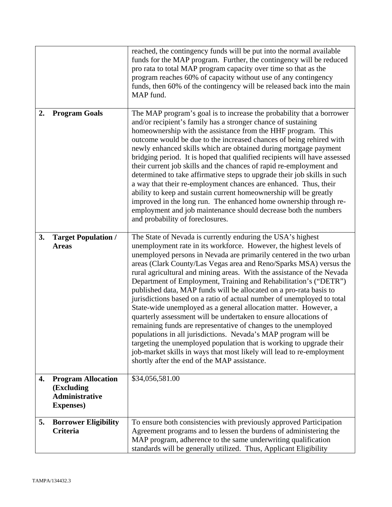|    |                                                                                       | reached, the contingency funds will be put into the normal available<br>funds for the MAP program. Further, the contingency will be reduced<br>pro rata to total MAP program capacity over time so that as the<br>program reaches 60% of capacity without use of any contingency<br>funds, then 60% of the contingency will be released back into the main<br>MAP fund.                                                                                                                                                                                                                                                                                                                                                                                                                                                                                                                                                                                                                                                                                     |
|----|---------------------------------------------------------------------------------------|-------------------------------------------------------------------------------------------------------------------------------------------------------------------------------------------------------------------------------------------------------------------------------------------------------------------------------------------------------------------------------------------------------------------------------------------------------------------------------------------------------------------------------------------------------------------------------------------------------------------------------------------------------------------------------------------------------------------------------------------------------------------------------------------------------------------------------------------------------------------------------------------------------------------------------------------------------------------------------------------------------------------------------------------------------------|
| 2. | <b>Program Goals</b>                                                                  | The MAP program's goal is to increase the probability that a borrower<br>and/or recipient's family has a stronger chance of sustaining<br>homeownership with the assistance from the HHF program. This<br>outcome would be due to the increased chances of being rehired with<br>newly enhanced skills which are obtained during mortgage payment<br>bridging period. It is hoped that qualified recipients will have assessed<br>their current job skills and the chances of rapid re-employment and<br>determined to take affirmative steps to upgrade their job skills in such<br>a way that their re-employment chances are enhanced. Thus, their<br>ability to keep and sustain current homeownership will be greatly<br>improved in the long run. The enhanced home ownership through re-<br>employment and job maintenance should decrease both the numbers<br>and probability of foreclosures.                                                                                                                                                      |
| 3. | <b>Target Population /</b><br><b>Areas</b>                                            | The State of Nevada is currently enduring the USA's highest<br>unemployment rate in its workforce. However, the highest levels of<br>unemployed persons in Nevada are primarily centered in the two urban<br>areas (Clark County/Las Vegas area and Reno/Sparks MSA) versus the<br>rural agricultural and mining areas. With the assistance of the Nevada<br>Department of Employment, Training and Rehabilitation's ("DETR")<br>published data, MAP funds will be allocated on a pro-rata basis to<br>jurisdictions based on a ratio of actual number of unemployed to total<br>State-wide unemployed as a general allocation matter. However, a<br>quarterly assessment will be undertaken to ensure allocations of<br>remaining funds are representative of changes to the unemployed<br>populations in all jurisdictions. Nevada's MAP program will be<br>targeting the unemployed population that is working to upgrade their<br>job-market skills in ways that most likely will lead to re-employment<br>shortly after the end of the MAP assistance. |
| 4. | <b>Program Allocation</b><br>(Excluding<br><b>Administrative</b><br><b>Expenses</b> ) | \$34,056,581.00                                                                                                                                                                                                                                                                                                                                                                                                                                                                                                                                                                                                                                                                                                                                                                                                                                                                                                                                                                                                                                             |
| 5. | <b>Borrower Eligibility</b><br><b>Criteria</b>                                        | To ensure both consistencies with previously approved Participation<br>Agreement programs and to lessen the burdens of administering the<br>MAP program, adherence to the same underwriting qualification<br>standards will be generally utilized. Thus, Applicant Eligibility                                                                                                                                                                                                                                                                                                                                                                                                                                                                                                                                                                                                                                                                                                                                                                              |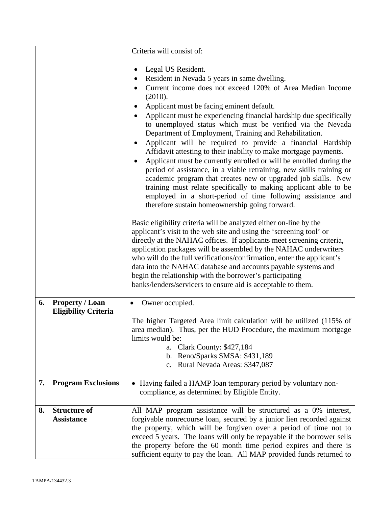|    |                                          | Criteria will consist of:                                                                                                                                                                                                                                                                                                                                                                                                                                                                                                                                                                                                                                                                                                                                                                                                                                                                                                                                                                                                                                                                                                                                                                                                                                                                                                                                                                                                                                                                                       |
|----|------------------------------------------|-----------------------------------------------------------------------------------------------------------------------------------------------------------------------------------------------------------------------------------------------------------------------------------------------------------------------------------------------------------------------------------------------------------------------------------------------------------------------------------------------------------------------------------------------------------------------------------------------------------------------------------------------------------------------------------------------------------------------------------------------------------------------------------------------------------------------------------------------------------------------------------------------------------------------------------------------------------------------------------------------------------------------------------------------------------------------------------------------------------------------------------------------------------------------------------------------------------------------------------------------------------------------------------------------------------------------------------------------------------------------------------------------------------------------------------------------------------------------------------------------------------------|
|    |                                          | Legal US Resident.<br>$\bullet$<br>Resident in Nevada 5 years in same dwelling.<br>Current income does not exceed 120% of Area Median Income<br>(2010).<br>Applicant must be facing eminent default.<br>Applicant must be experiencing financial hardship due specifically<br>to unemployed status which must be verified via the Nevada<br>Department of Employment, Training and Rehabilitation.<br>Applicant will be required to provide a financial Hardship<br>٠<br>Affidavit attesting to their inability to make mortgage payments.<br>Applicant must be currently enrolled or will be enrolled during the<br>period of assistance, in a viable retraining, new skills training or<br>academic program that creates new or upgraded job skills. New<br>training must relate specifically to making applicant able to be<br>employed in a short-period of time following assistance and<br>therefore sustain homeownership going forward.<br>Basic eligibility criteria will be analyzed either on-line by the<br>applicant's visit to the web site and using the 'screening tool' or<br>directly at the NAHAC offices. If applicants meet screening criteria,<br>application packages will be assembled by the NAHAC underwriters<br>who will do the full verifications/confirmation, enter the applicant's<br>data into the NAHAC database and accounts payable systems and<br>begin the relationship with the borrower's participating<br>banks/lenders/servicers to ensure aid is acceptable to them. |
| 6. | <b>Property / Loan</b>                   | Owner occupied.<br>$\bullet$                                                                                                                                                                                                                                                                                                                                                                                                                                                                                                                                                                                                                                                                                                                                                                                                                                                                                                                                                                                                                                                                                                                                                                                                                                                                                                                                                                                                                                                                                    |
|    | <b>Eligibility Criteria</b>              | The higher Targeted Area limit calculation will be utilized (115% of<br>area median). Thus, per the HUD Procedure, the maximum mortgage<br>limits would be:<br>a. Clark County: \$427,184<br>b. Reno/Sparks SMSA: \$431,189<br>c. Rural Nevada Areas: \$347,087                                                                                                                                                                                                                                                                                                                                                                                                                                                                                                                                                                                                                                                                                                                                                                                                                                                                                                                                                                                                                                                                                                                                                                                                                                                 |
| 7. | <b>Program Exclusions</b>                | • Having failed a HAMP loan temporary period by voluntary non-<br>compliance, as determined by Eligible Entity.                                                                                                                                                                                                                                                                                                                                                                                                                                                                                                                                                                                                                                                                                                                                                                                                                                                                                                                                                                                                                                                                                                                                                                                                                                                                                                                                                                                                 |
| 8. | <b>Structure of</b><br><b>Assistance</b> | All MAP program assistance will be structured as a 0% interest,<br>forgivable nonrecourse loan, secured by a junior lien recorded against<br>the property, which will be forgiven over a period of time not to<br>exceed 5 years. The loans will only be repayable if the borrower sells<br>the property before the 60 month time period expires and there is<br>sufficient equity to pay the loan. All MAP provided funds returned to                                                                                                                                                                                                                                                                                                                                                                                                                                                                                                                                                                                                                                                                                                                                                                                                                                                                                                                                                                                                                                                                          |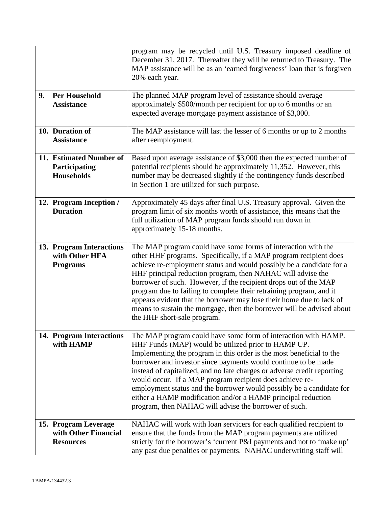|    |                                                                  | program may be recycled until U.S. Treasury imposed deadline of<br>December 31, 2017. Thereafter they will be returned to Treasury. The<br>MAP assistance will be as an 'earned forgiveness' loan that is forgiven<br>20% each year.                                                                                                                                                                                                                                                                                                                                                                    |
|----|------------------------------------------------------------------|---------------------------------------------------------------------------------------------------------------------------------------------------------------------------------------------------------------------------------------------------------------------------------------------------------------------------------------------------------------------------------------------------------------------------------------------------------------------------------------------------------------------------------------------------------------------------------------------------------|
| 9. | <b>Per Household</b><br><b>Assistance</b>                        | The planned MAP program level of assistance should average<br>approximately \$500/month per recipient for up to 6 months or an<br>expected average mortgage payment assistance of \$3,000.                                                                                                                                                                                                                                                                                                                                                                                                              |
|    | 10. Duration of<br><b>Assistance</b>                             | The MAP assistance will last the lesser of 6 months or up to 2 months<br>after reemployment.                                                                                                                                                                                                                                                                                                                                                                                                                                                                                                            |
|    | 11. Estimated Number of<br>Participating<br>Households           | Based upon average assistance of \$3,000 then the expected number of<br>potential recipients should be approximately 11,352. However, this<br>number may be decreased slightly if the contingency funds described<br>in Section 1 are utilized for such purpose.                                                                                                                                                                                                                                                                                                                                        |
|    | 12. Program Inception /<br><b>Duration</b>                       | Approximately 45 days after final U.S. Treasury approval. Given the<br>program limit of six months worth of assistance, this means that the<br>full utilization of MAP program funds should run down in<br>approximately 15-18 months.                                                                                                                                                                                                                                                                                                                                                                  |
|    | 13. Program Interactions<br>with Other HFA<br><b>Programs</b>    | The MAP program could have some forms of interaction with the<br>other HHF programs. Specifically, if a MAP program recipient does<br>achieve re-employment status and would possibly be a candidate for a<br>HHF principal reduction program, then NAHAC will advise the<br>borrower of such. However, if the recipient drops out of the MAP<br>program due to failing to complete their retraining program, and it<br>appears evident that the borrower may lose their home due to lack of<br>means to sustain the mortgage, then the borrower will be advised about<br>the HHF short-sale program.   |
|    | 14. Program Interactions<br>with HAMP                            | The MAP program could have some form of interaction with HAMP.<br>HHF Funds (MAP) would be utilized prior to HAMP UP.<br>Implementing the program in this order is the most beneficial to the<br>borrower and investor since payments would continue to be made<br>instead of capitalized, and no late charges or adverse credit reporting<br>would occur. If a MAP program recipient does achieve re-<br>employment status and the borrower would possibly be a candidate for<br>either a HAMP modification and/or a HAMP principal reduction<br>program, then NAHAC will advise the borrower of such. |
|    | 15. Program Leverage<br>with Other Financial<br><b>Resources</b> | NAHAC will work with loan servicers for each qualified recipient to<br>ensure that the funds from the MAP program payments are utilized<br>strictly for the borrower's 'current P&I payments and not to 'make up'<br>any past due penalties or payments. NAHAC underwriting staff will                                                                                                                                                                                                                                                                                                                  |